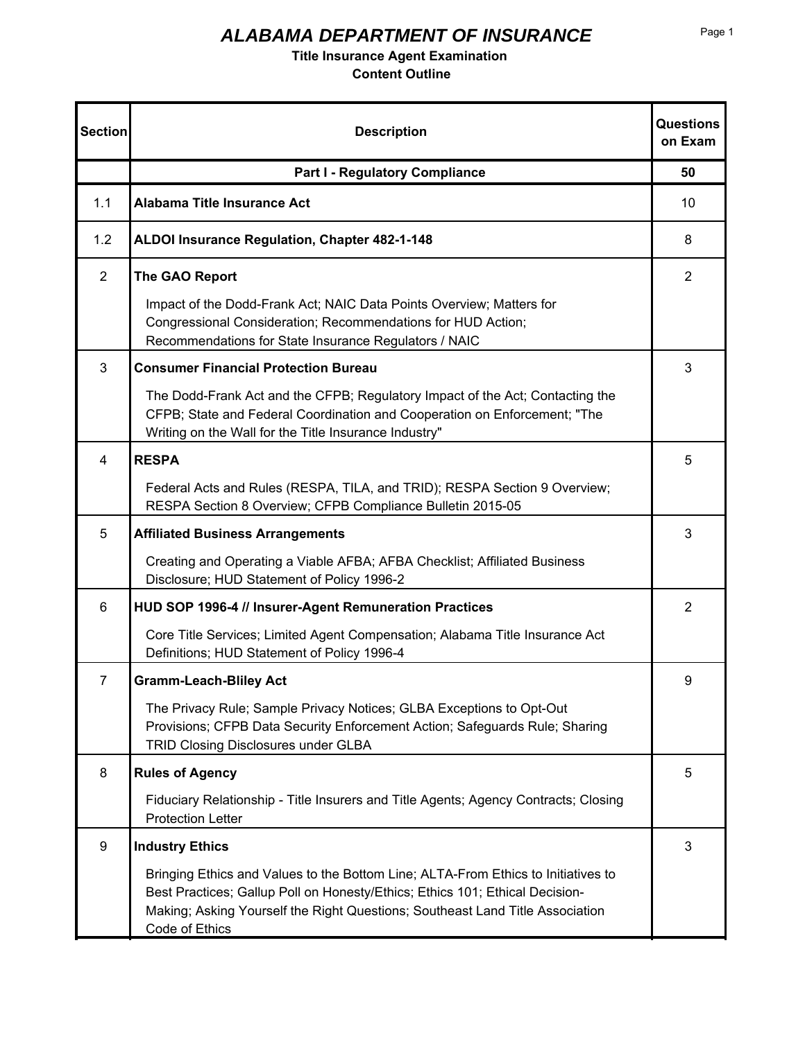### **Title Insurance Agent Examination**

| <b>Section</b> | <b>Description</b>                                                                                                                                                                                                                                                   | <b>Questions</b><br>on Exam |
|----------------|----------------------------------------------------------------------------------------------------------------------------------------------------------------------------------------------------------------------------------------------------------------------|-----------------------------|
|                | <b>Part I - Regulatory Compliance</b>                                                                                                                                                                                                                                | 50                          |
| 1.1            | <b>Alabama Title Insurance Act</b>                                                                                                                                                                                                                                   | 10                          |
| 1.2            | ALDOI Insurance Regulation, Chapter 482-1-148                                                                                                                                                                                                                        | 8                           |
| $\overline{2}$ | The GAO Report                                                                                                                                                                                                                                                       | $\overline{2}$              |
|                | Impact of the Dodd-Frank Act; NAIC Data Points Overview; Matters for<br>Congressional Consideration; Recommendations for HUD Action;<br>Recommendations for State Insurance Regulators / NAIC                                                                        |                             |
| 3              | <b>Consumer Financial Protection Bureau</b>                                                                                                                                                                                                                          | 3                           |
|                | The Dodd-Frank Act and the CFPB; Regulatory Impact of the Act; Contacting the<br>CFPB; State and Federal Coordination and Cooperation on Enforcement; "The<br>Writing on the Wall for the Title Insurance Industry"                                                  |                             |
| 4              | <b>RESPA</b>                                                                                                                                                                                                                                                         | 5                           |
|                | Federal Acts and Rules (RESPA, TILA, and TRID); RESPA Section 9 Overview;<br>RESPA Section 8 Overview; CFPB Compliance Bulletin 2015-05                                                                                                                              |                             |
| 5              | <b>Affiliated Business Arrangements</b>                                                                                                                                                                                                                              | 3                           |
|                | Creating and Operating a Viable AFBA; AFBA Checklist; Affiliated Business<br>Disclosure; HUD Statement of Policy 1996-2                                                                                                                                              |                             |
| 6              | HUD SOP 1996-4 // Insurer-Agent Remuneration Practices                                                                                                                                                                                                               | $\overline{2}$              |
|                | Core Title Services; Limited Agent Compensation; Alabama Title Insurance Act<br>Definitions; HUD Statement of Policy 1996-4                                                                                                                                          |                             |
| $\overline{7}$ | <b>Gramm-Leach-Bliley Act</b>                                                                                                                                                                                                                                        | 9                           |
|                | The Privacy Rule; Sample Privacy Notices; GLBA Exceptions to Opt-Out<br>Provisions; CFPB Data Security Enforcement Action; Safeguards Rule; Sharing<br>TRID Closing Disclosures under GLBA                                                                           |                             |
| 8              | <b>Rules of Agency</b>                                                                                                                                                                                                                                               | 5                           |
|                | Fiduciary Relationship - Title Insurers and Title Agents; Agency Contracts; Closing<br><b>Protection Letter</b>                                                                                                                                                      |                             |
| 9              | <b>Industry Ethics</b>                                                                                                                                                                                                                                               | 3                           |
|                | Bringing Ethics and Values to the Bottom Line; ALTA-From Ethics to Initiatives to<br>Best Practices; Gallup Poll on Honesty/Ethics; Ethics 101; Ethical Decision-<br>Making; Asking Yourself the Right Questions; Southeast Land Title Association<br>Code of Ethics |                             |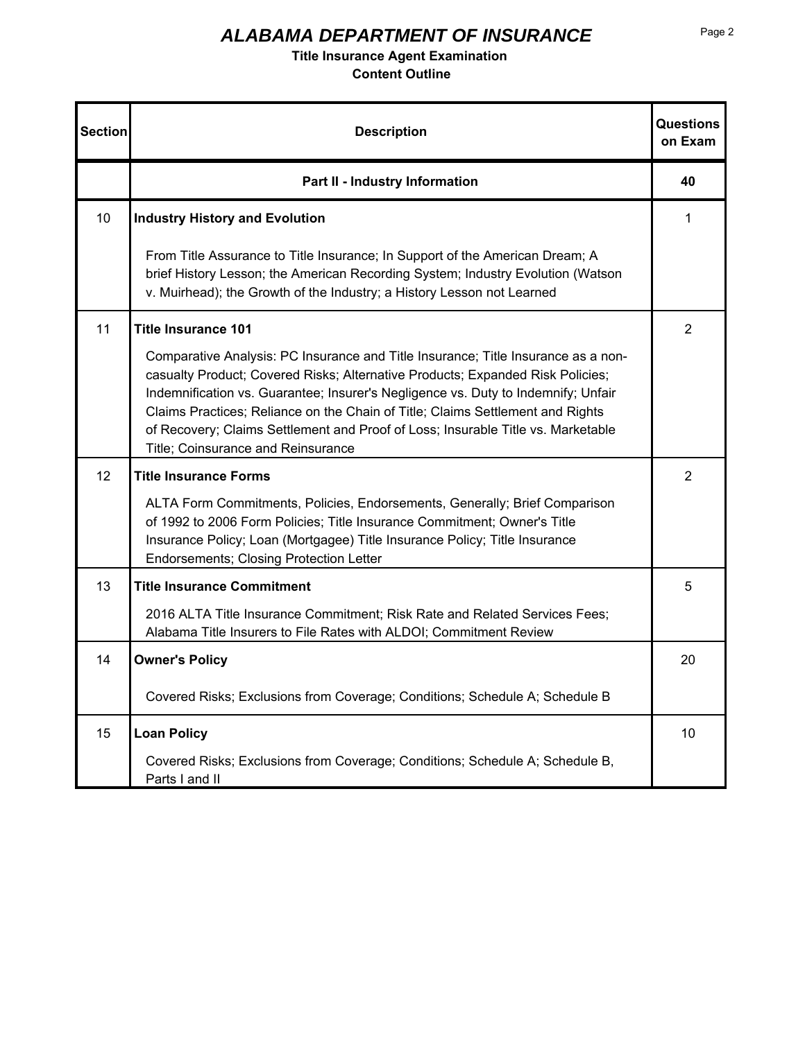### **Title Insurance Agent Examination**

| <b>Section</b> | <b>Description</b>                                                                                                                                                                                                                                                                                                                                                                                                                                                   | Questions<br>on Exam |
|----------------|----------------------------------------------------------------------------------------------------------------------------------------------------------------------------------------------------------------------------------------------------------------------------------------------------------------------------------------------------------------------------------------------------------------------------------------------------------------------|----------------------|
|                | Part II - Industry Information                                                                                                                                                                                                                                                                                                                                                                                                                                       | 40                   |
| 10             | <b>Industry History and Evolution</b>                                                                                                                                                                                                                                                                                                                                                                                                                                | 1                    |
|                | From Title Assurance to Title Insurance; In Support of the American Dream; A<br>brief History Lesson; the American Recording System; Industry Evolution (Watson<br>v. Muirhead); the Growth of the Industry; a History Lesson not Learned                                                                                                                                                                                                                            |                      |
| 11             | Title Insurance 101                                                                                                                                                                                                                                                                                                                                                                                                                                                  | 2                    |
|                | Comparative Analysis: PC Insurance and Title Insurance; Title Insurance as a non-<br>casualty Product; Covered Risks; Alternative Products; Expanded Risk Policies;<br>Indemnification vs. Guarantee; Insurer's Negligence vs. Duty to Indemnify; Unfair<br>Claims Practices; Reliance on the Chain of Title; Claims Settlement and Rights<br>of Recovery; Claims Settlement and Proof of Loss; Insurable Title vs. Marketable<br>Title; Coinsurance and Reinsurance |                      |
| 12             | <b>Title Insurance Forms</b>                                                                                                                                                                                                                                                                                                                                                                                                                                         | 2                    |
|                | ALTA Form Commitments, Policies, Endorsements, Generally; Brief Comparison<br>of 1992 to 2006 Form Policies; Title Insurance Commitment; Owner's Title<br>Insurance Policy; Loan (Mortgagee) Title Insurance Policy; Title Insurance<br><b>Endorsements; Closing Protection Letter</b>                                                                                                                                                                               |                      |
| 13             | <b>Title Insurance Commitment</b>                                                                                                                                                                                                                                                                                                                                                                                                                                    | 5                    |
|                | 2016 ALTA Title Insurance Commitment; Risk Rate and Related Services Fees;<br>Alabama Title Insurers to File Rates with ALDOI; Commitment Review                                                                                                                                                                                                                                                                                                                     |                      |
| 14             | <b>Owner's Policy</b>                                                                                                                                                                                                                                                                                                                                                                                                                                                | 20                   |
|                | Covered Risks; Exclusions from Coverage; Conditions; Schedule A; Schedule B                                                                                                                                                                                                                                                                                                                                                                                          |                      |
| 15             | <b>Loan Policy</b>                                                                                                                                                                                                                                                                                                                                                                                                                                                   | 10                   |
|                | Covered Risks; Exclusions from Coverage; Conditions; Schedule A; Schedule B,<br>Parts I and II                                                                                                                                                                                                                                                                                                                                                                       |                      |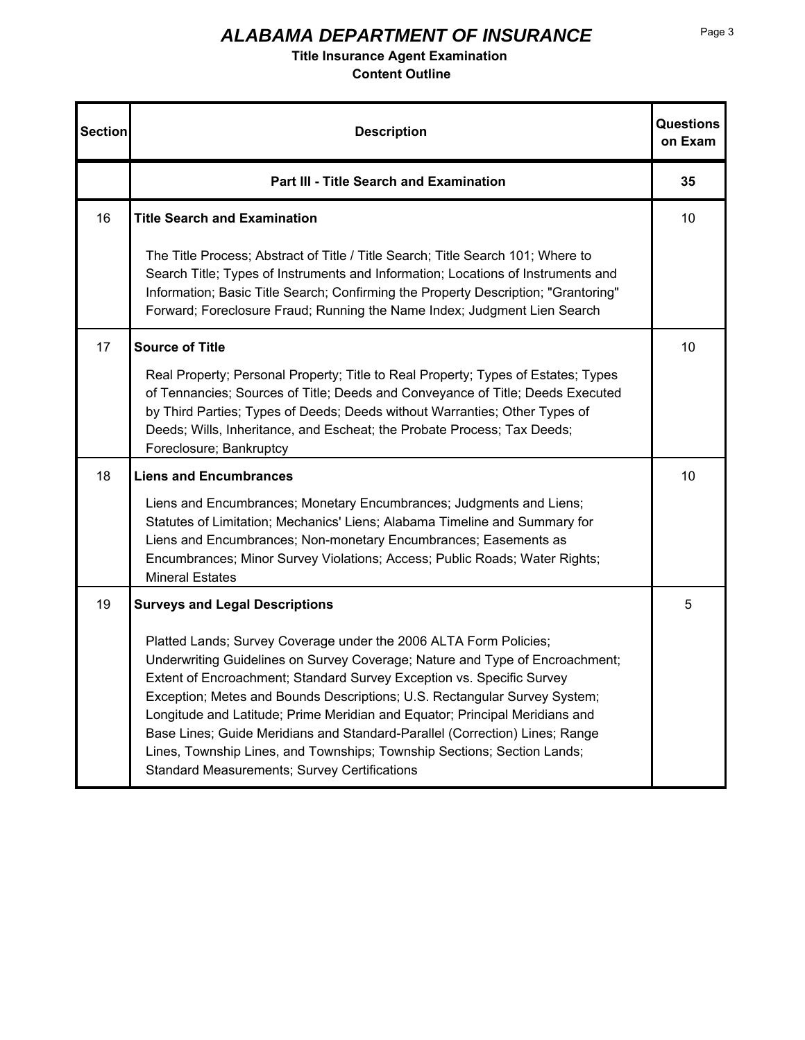### **Title Insurance Agent Examination**

| <b>Section</b> | <b>Description</b>                                                                                                                                                                                                                                                                                                                                                                                                                                                                                                                                                                                      | Questions<br>on Exam |
|----------------|---------------------------------------------------------------------------------------------------------------------------------------------------------------------------------------------------------------------------------------------------------------------------------------------------------------------------------------------------------------------------------------------------------------------------------------------------------------------------------------------------------------------------------------------------------------------------------------------------------|----------------------|
|                | <b>Part III - Title Search and Examination</b>                                                                                                                                                                                                                                                                                                                                                                                                                                                                                                                                                          | 35                   |
| 16             | <b>Title Search and Examination</b>                                                                                                                                                                                                                                                                                                                                                                                                                                                                                                                                                                     | 10                   |
|                | The Title Process; Abstract of Title / Title Search; Title Search 101; Where to<br>Search Title; Types of Instruments and Information; Locations of Instruments and<br>Information; Basic Title Search; Confirming the Property Description; "Grantoring"<br>Forward; Foreclosure Fraud; Running the Name Index; Judgment Lien Search                                                                                                                                                                                                                                                                   |                      |
| 17             | <b>Source of Title</b>                                                                                                                                                                                                                                                                                                                                                                                                                                                                                                                                                                                  | 10                   |
|                | Real Property; Personal Property; Title to Real Property; Types of Estates; Types<br>of Tennancies; Sources of Title; Deeds and Conveyance of Title; Deeds Executed<br>by Third Parties; Types of Deeds; Deeds without Warranties; Other Types of<br>Deeds; Wills, Inheritance, and Escheat; the Probate Process; Tax Deeds;<br>Foreclosure; Bankruptcy                                                                                                                                                                                                                                                 |                      |
| 18             | <b>Liens and Encumbrances</b>                                                                                                                                                                                                                                                                                                                                                                                                                                                                                                                                                                           | 10                   |
|                | Liens and Encumbrances; Monetary Encumbrances; Judgments and Liens;<br>Statutes of Limitation; Mechanics' Liens; Alabama Timeline and Summary for<br>Liens and Encumbrances; Non-monetary Encumbrances; Easements as<br>Encumbrances; Minor Survey Violations; Access; Public Roads; Water Rights;<br><b>Mineral Estates</b>                                                                                                                                                                                                                                                                            |                      |
| 19             | <b>Surveys and Legal Descriptions</b>                                                                                                                                                                                                                                                                                                                                                                                                                                                                                                                                                                   | 5                    |
|                | Platted Lands; Survey Coverage under the 2006 ALTA Form Policies;<br>Underwriting Guidelines on Survey Coverage; Nature and Type of Encroachment;<br>Extent of Encroachment; Standard Survey Exception vs. Specific Survey<br>Exception; Metes and Bounds Descriptions; U.S. Rectangular Survey System;<br>Longitude and Latitude; Prime Meridian and Equator; Principal Meridians and<br>Base Lines; Guide Meridians and Standard-Parallel (Correction) Lines; Range<br>Lines, Township Lines, and Townships; Township Sections; Section Lands;<br><b>Standard Measurements; Survey Certifications</b> |                      |